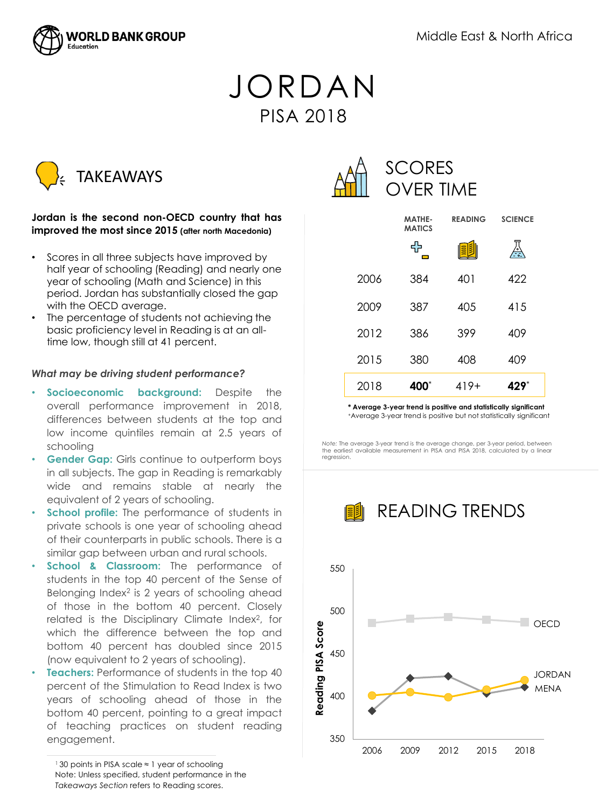

# JORDAN PISA 2018



## **Jordan is the second non-OECD country that has improved the most since 2015 (after north Macedonia)**

- Scores in all three subjects have improved by half year of schooling (Reading) and nearly one year of schooling (Math and Science) in this period. Jordan has substantially closed the gap with the OECD average.
- The percentage of students not achieving the basic proficiency level in Reading is at an alltime low, though still at 41 percent.

### *What may be driving student performance?*

- **Socioeconomic background:** Despite the overall performance improvement in 2018, differences between students at the top and low income quintiles remain at 2.5 years of schooling
- **Gender Gap:** Girls continue to outperform boys in all subjects. The gap in Reading is remarkably wide and remains stable at nearly the equivalent of 2 years of schooling.
- **School profile:** The performance of students in private schools is one year of schooling ahead of their counterparts in public schools. There is a similar gap between urban and rural schools.
- **School & Classroom:** The performance of students in the top 40 percent of the Sense of Belonging Index<sup>2</sup> is 2 years of schooling ahead of those in the bottom 40 percent. Closely related is the Disciplinary Climate Index<sup>2</sup>, for which the difference between the top and bottom 40 percent has doubled since 2015 (now equivalent to 2 years of schooling).
- **Teachers:** Performance of students in the top 40 percent of the Stimulation to Read Index is two years of schooling ahead of those in the bottom 40 percent, pointing to a great impact of teaching practices on student reading engagement.

<sup>1</sup>30 points in PISA scale ≈ 1 year of schooling Note: Unless specified, student performance in the *Takeaways Section* refers to Reading scores.



|      | MATHE-<br><b>MATICS</b> | <b>READING</b> | <b>SCIENCE</b> |
|------|-------------------------|----------------|----------------|
|      | ╋<br>—                  | 圍              | 씟              |
| 2006 | 384                     | 401            | 422            |
| 2009 | 387                     | 40.5           | 415            |
| 2012 | 386                     | 399            | 409            |
| 2015 | 380                     | 408            | 409            |
| 2018 | 400*                    | 419+           | 429*           |

**\* Average 3-year trend is positive and statistically significant** <sup>+</sup>Average 3-year trend is positive but not statistically significant

*Note:* The average 3-year trend is the average change, per 3-year period, between the earliest available measurement in PISA and PISA 2018, calculated by a linear regression.



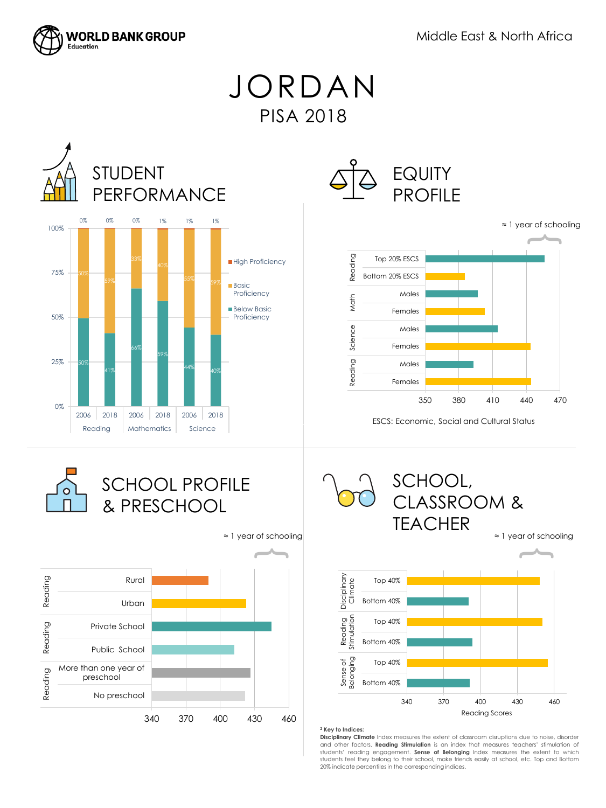

JORDAN PISA 2018







ESCS: Economic, Social and Cultural Status







#### **<sup>2</sup> Key to Indices:**

**Disciplinary Climate** Index measures the extent of classroom disruptions due to noise, disorder and other factors. **Reading Stimulation** is an index that measures teachers' stimulation of students' reading engagement. **Sense of Belonging** Index measures the extent to which students feel they belong to their school, make friends easily at school, etc. Top and Bottom 20% indicate percentiles in the corresponding indices.